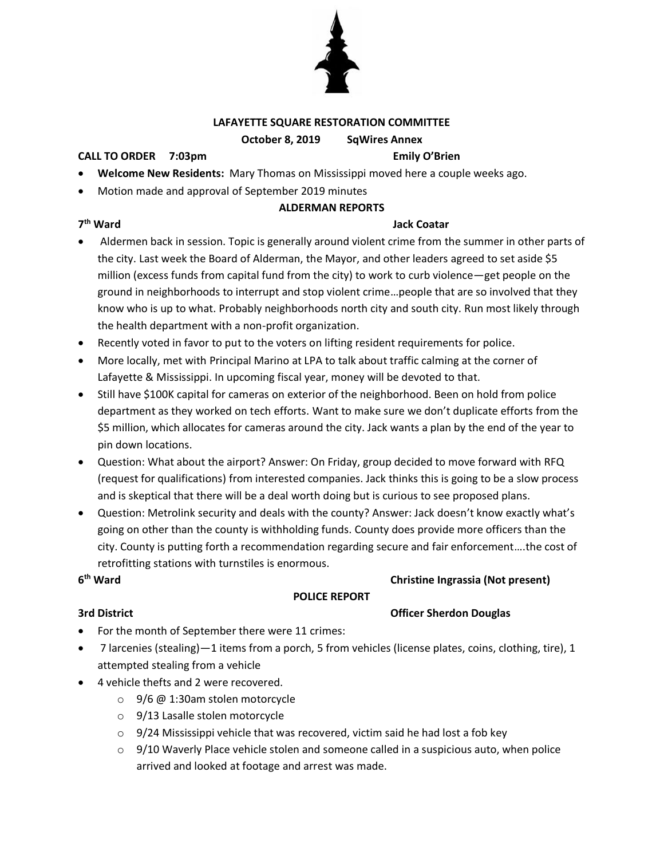

### **LAFAYETTE SQUARE RESTORATION COMMITTEE**

### **October 8, 2019 SqWires Annex**

### **CALL TO ORDER 7:03pm Emily O'Brien**

- **Welcome New Residents:** Mary Thomas on Mississippi moved here a couple weeks ago.
- Motion made and approval of September 2019 minutes

### **ALDERMAN REPORTS**

# 7<sup>th</sup> Ward

### **Jack Coatar**

- Aldermen back in session. Topic is generally around violent crime from the summer in other parts of the city. Last week the Board of Alderman, the Mayor, and other leaders agreed to set aside \$5 million (excess funds from capital fund from the city) to work to curb violence—get people on the ground in neighborhoods to interrupt and stop violent crime…people that are so involved that they know who is up to what. Probably neighborhoods north city and south city. Run most likely through the health department with a non-profit organization.
- Recently voted in favor to put to the voters on lifting resident requirements for police.
- More locally, met with Principal Marino at LPA to talk about traffic calming at the corner of Lafayette & Mississippi. In upcoming fiscal year, money will be devoted to that.
- Still have \$100K capital for cameras on exterior of the neighborhood. Been on hold from police department as they worked on tech efforts. Want to make sure we don't duplicate efforts from the \$5 million, which allocates for cameras around the city. Jack wants a plan by the end of the year to pin down locations.
- Question: What about the airport? Answer: On Friday, group decided to move forward with RFQ (request for qualifications) from interested companies. Jack thinks this is going to be a slow process and is skeptical that there will be a deal worth doing but is curious to see proposed plans.
- Question: Metrolink security and deals with the county? Answer: Jack doesn't know exactly what's going on other than the county is withholding funds. County does provide more officers than the city. County is putting forth a recommendation regarding secure and fair enforcement….the cost of retrofitting stations with turnstiles is enormous.

# $6<sup>th</sup>$  Ward

# **POLICE REPORT**

**Christine Ingrassia (Not present)** 

### **3rd District Community Community Community Community Community Community Community Community Community Community Community Community Community Community Community Community Community Community Community Community Communit**

- For the month of September there were 11 crimes:
- 7 larcenies (stealing)—1 items from a porch, 5 from vehicles (license plates, coins, clothing, tire), 1 attempted stealing from a vehicle
- 4 vehicle thefts and 2 were recovered.
	- o 9/6 @ 1:30am stolen motorcycle
	- o 9/13 Lasalle stolen motorcycle
	- $\circ$  9/24 Mississippi vehicle that was recovered, victim said he had lost a fob key
	- $\circ$  9/10 Waverly Place vehicle stolen and someone called in a suspicious auto, when police arrived and looked at footage and arrest was made.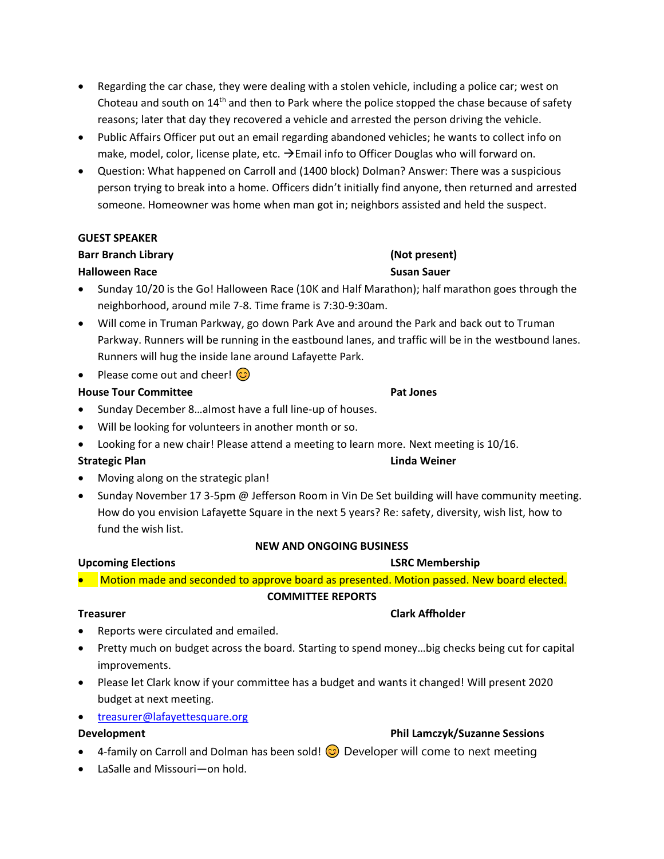- Regarding the car chase, they were dealing with a stolen vehicle, including a police car; west on Choteau and south on 14th and then to Park where the police stopped the chase because of safety reasons; later that day they recovered a vehicle and arrested the person driving the vehicle.
- Public Affairs Officer put out an email regarding abandoned vehicles; he wants to collect info on make, model, color, license plate, etc.  $\rightarrow$  Email info to Officer Douglas who will forward on.
- Question: What happened on Carroll and (1400 block) Dolman? Answer: There was a suspicious person trying to break into a home. Officers didn't initially find anyone, then returned and arrested someone. Homeowner was home when man got in; neighbors assisted and held the suspect.

# **GUEST SPEAKER**

# **Barr Branch Library Contract Contract Contract Contract Contract Contract Contract Contract Contract Contract Contract Contract Contract Contract Contract Contract Contract Contract Contract Contract Contract Contract C**

# **Halloween Race Susan Sauer**

- Sunday 10/20 is the Go! Halloween Race (10K and Half Marathon); half marathon goes through the neighborhood, around mile 7-8. Time frame is 7:30-9:30am.
- Will come in Truman Parkway, go down Park Ave and around the Park and back out to Truman Parkway. Runners will be running in the eastbound lanes, and traffic will be in the westbound lanes. Runners will hug the inside lane around Lafayette Park.
- Please come out and cheer!  $\circled{c}$

# **House Tour Committee Pat Jones**

- Sunday December 8…almost have a full line-up of houses.
- Will be looking for volunteers in another month or so.
- Looking for a new chair! Please attend a meeting to learn more. Next meeting is 10/16.

# **Strategic Plan Linda Weiner**

- Moving along on the strategic plan!
- Sunday November 17 3-5pm @ Jefferson Room in Vin De Set building will have community meeting. How do you envision Lafayette Square in the next 5 years? Re: safety, diversity, wish list, how to fund the wish list.

# **NEW AND ONGOING BUSINESS**

# **Upcoming Elections LSRC Membership**

• Motion made and seconded to approve board as presented. Motion passed. New board elected.

# **COMMITTEE REPORTS**

- Reports were circulated and emailed.
- Pretty much on budget across the board. Starting to spend money…big checks being cut for capital improvements.
- Please let Clark know if your committee has a budget and wants it changed! Will present 2020 budget at next meeting.
- [treasurer@lafayettesquare.org](mailto:treasurer@lafayettesquare.org)

- **Development Phil Lamczyk/Suzanne Sessions**
- 4-family on Carroll and Dolman has been sold!  $\odot$  Developer will come to next meeting
- LaSalle and Missouri—on hold.

# **Treasurer Clark Affholder**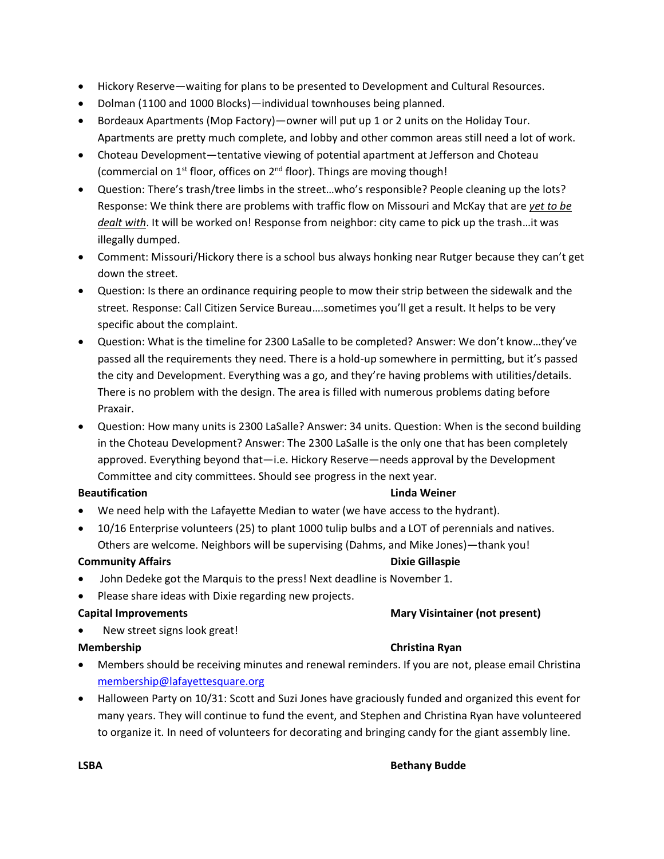- Hickory Reserve—waiting for plans to be presented to Development and Cultural Resources.
- Dolman (1100 and 1000 Blocks)—individual townhouses being planned.
- Bordeaux Apartments (Mop Factory)—owner will put up 1 or 2 units on the Holiday Tour. Apartments are pretty much complete, and lobby and other common areas still need a lot of work.
- Choteau Development—tentative viewing of potential apartment at Jefferson and Choteau (commercial on  $1<sup>st</sup>$  floor, offices on  $2<sup>nd</sup>$  floor). Things are moving though!
- Question: There's trash/tree limbs in the street…who's responsible? People cleaning up the lots? Response: We think there are problems with traffic flow on Missouri and McKay that are *yet to be dealt with*. It will be worked on! Response from neighbor: city came to pick up the trash…it was illegally dumped.
- Comment: Missouri/Hickory there is a school bus always honking near Rutger because they can't get down the street.
- Question: Is there an ordinance requiring people to mow their strip between the sidewalk and the street. Response: Call Citizen Service Bureau….sometimes you'll get a result. It helps to be very specific about the complaint.
- Question: What is the timeline for 2300 LaSalle to be completed? Answer: We don't know…they've passed all the requirements they need. There is a hold-up somewhere in permitting, but it's passed the city and Development. Everything was a go, and they're having problems with utilities/details. There is no problem with the design. The area is filled with numerous problems dating before Praxair.
- Question: How many units is 2300 LaSalle? Answer: 34 units. Question: When is the second building in the Choteau Development? Answer: The 2300 LaSalle is the only one that has been completely approved. Everything beyond that—i.e. Hickory Reserve—needs approval by the Development Committee and city committees. Should see progress in the next year.

### **Beautification Linda Weiner**

- We need help with the Lafayette Median to water (we have access to the hydrant).
- 10/16 Enterprise volunteers (25) to plant 1000 tulip bulbs and a LOT of perennials and natives. Others are welcome. Neighbors will be supervising (Dahms, and Mike Jones)—thank you!

### **Community Affairs Dixie Gillaspie Dixie Gillaspie**

- John Dedeke got the Marquis to the press! Next deadline is November 1.
- Please share ideas with Dixie regarding new projects.

### **Capital Improvements Mary Visintainer (not present)**

New street signs look great!

# **Membership Christina Ryan**

- Members should be receiving minutes and renewal reminders. If you are not, please email Christina [membership@lafayettesquare.org](mailto:membership@lafayettesquare.org)
- Halloween Party on 10/31: Scott and Suzi Jones have graciously funded and organized this event for many years. They will continue to fund the event, and Stephen and Christina Ryan have volunteered to organize it. In need of volunteers for decorating and bringing candy for the giant assembly line.

### **LSBA Bethany Budde**